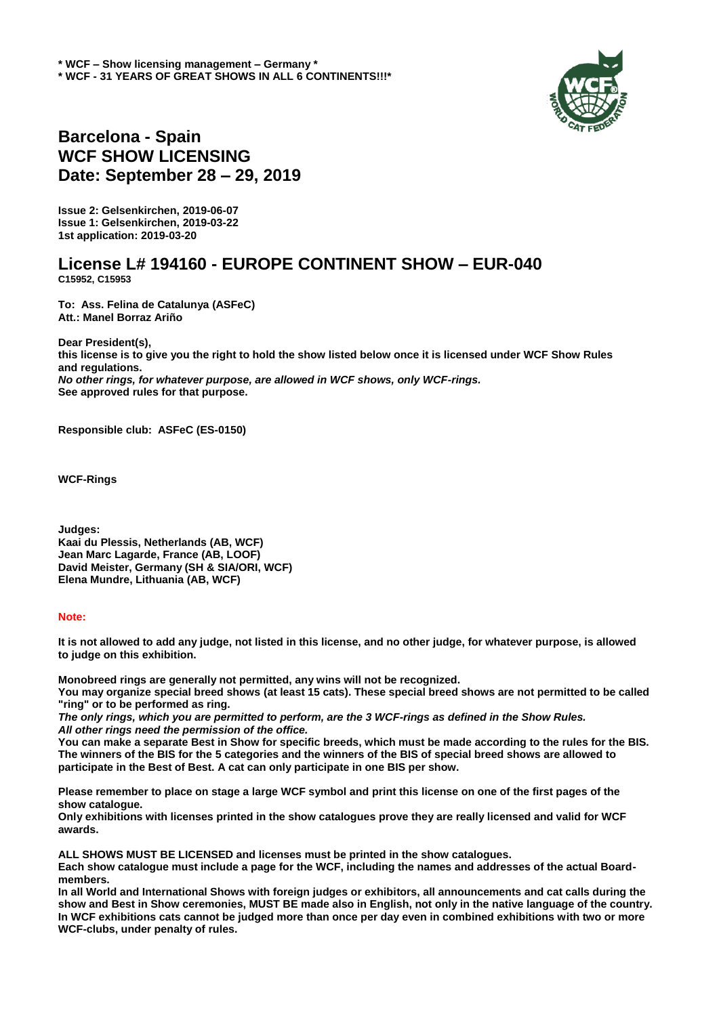

## **Barcelona - Spain WCF SHOW LICENSING Date: September 28 – 29, 2019**

**Issue 2: Gelsenkirchen, 2019-06-07 Issue 1: Gelsenkirchen, 2019-03-22 1st application: 2019-03-20**

## **License L# 194160 - EUROPE CONTINENT SHOW – EUR-040 C15952, C15953**

**To: Ass. Felina de Catalunya (ASFeC) Att.: Manel Borraz Ariño**

**Dear President(s), this license is to give you the right to hold the show listed below once it is licensed under WCF Show Rules and regulations.** *No other rings, for whatever purpose, are allowed in WCF shows, only WCF-rings.*  **See approved rules for that purpose.**

**Responsible club: ASFeC (ES-0150)**

**WCF-Rings** 

**Judges: Kaai du Plessis, Netherlands (AB, WCF) Jean Marc Lagarde, France (AB, LOOF) David Meister, Germany (SH & SIA/ORI, WCF) Elena Mundre, Lithuania (AB, WCF)**

## **Note:**

**It is not allowed to add any judge, not listed in this license, and no other judge, for whatever purpose, is allowed to judge on this exhibition.** 

**Monobreed rings are generally not permitted, any wins will not be recognized. You may organize special breed shows (at least 15 cats). These special breed shows are not permitted to be called "ring" or to be performed as ring.** 

*The only rings, which you are permitted to perform, are the 3 WCF-rings as defined in the Show Rules. All other rings need the permission of the office.* 

**You can make a separate Best in Show for specific breeds, which must be made according to the rules for the BIS. The winners of the BIS for the 5 categories and the winners of the BIS of special breed shows are allowed to participate in the Best of Best. A cat can only participate in one BIS per show.**

**Please remember to place on stage a large WCF symbol and print this license on one of the first pages of the show catalogue.** 

**Only exhibitions with licenses printed in the show catalogues prove they are really licensed and valid for WCF awards.** 

**ALL SHOWS MUST BE LICENSED and licenses must be printed in the show catalogues.** 

**Each show catalogue must include a page for the WCF, including the names and addresses of the actual Boardmembers.** 

**In all World and International Shows with foreign judges or exhibitors, all announcements and cat calls during the show and Best in Show ceremonies, MUST BE made also in English, not only in the native language of the country. In WCF exhibitions cats cannot be judged more than once per day even in combined exhibitions with two or more WCF-clubs, under penalty of rules.**